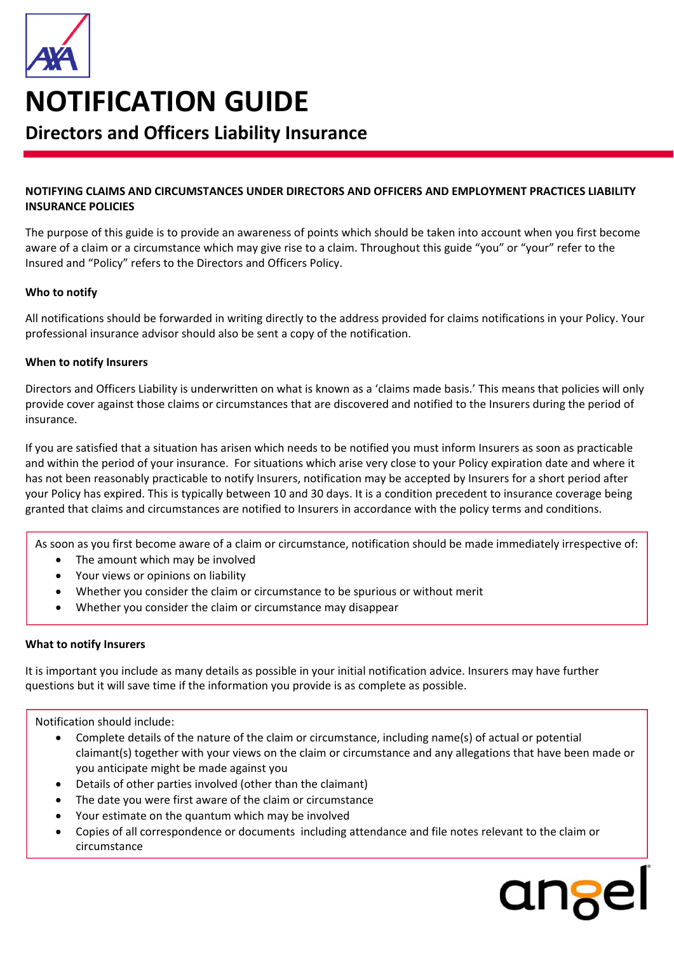

# **NOTIFICATION GUIDE**

# **Directors and Officers Liability Insurance**

### **NOTIFYING CLAIMS AND CIRCUMSTANCES UNDER DIRECTORS AND OFFICERS AND EMPLOYMENT PRACTICES LIABILITY INSURANCE POLICIES**

The purpose of this guide is to provide an awareness of points which should be taken into account when you first become aware of a claim or a circumstance which may give rise to a claim. Throughout this guide "you" or "your" refer to the Insured and "Policy" refers to the Directors and Officers Policy.

### **Who to notify**

All notifications should be forwarded in writing directly to the address provided for claims notifications in your Policy. Your professional insurance advisor should also be sent a copy of the notification.

### **When to notify Insurers**

Directors and Officers Liability is underwritten on what is known as a 'claims made basis.' This means that policies will only provide cover against those claims or circumstances that are discovered and notified to the Insurers during the period of insurance.

If you are satisfied that a situation has arisen which needs to be notified you must inform Insurers as soon as practicable and within the period of your insurance. For situations which arise very close to your Policy expiration date and where it has not been reasonably practicable to notify Insurers, notification may be accepted by Insurers for a short period after your Policy has expired. This is typically between 10 and 30 days. It is a condition precedent to insurance coverage being granted that claims and circumstances are notified to Insurers in accordance with the policy terms and conditions.

As soon as you first become aware of a claim or circumstance, notification should be made immediately irrespective of:

- The amount which may be involved
- Your views or opinions on liability
- Whether you consider the claim or circumstance to be spurious or without merit
- Whether you consider the claim or circumstance may disappear

## **What to notify Insurers**

It is important you include as many details as possible in your initial notification advice. Insurers may have further questions but it will save time if the information you provide is as complete as possible.

Notification should include:

- Complete details of the nature of the claim or circumstance, including name(s) of actual or potential claimant(s) together with your views on the claim or circumstance and any allegations that have been made or you anticipate might be made against you
- Details of other parties involved (other than the claimant)
- The date you were first aware of the claim or circumstance
- Your estimate on the quantum which may be involved
- Copies of all correspondence or documents including attendance and file notes relevant to the claim or circumstance